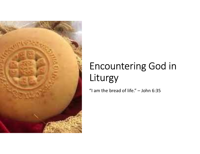

# Encountering God in Liturgy Encountering God in<br>Liturgy<br>"I am the bread of life." – John 6:35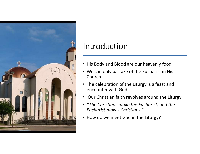

#### Introduction

- His Body and Blood are our heavenly food
- We can only partake of the Eucharist in His Church
- The celebration of the Liturgy is a feast and encounter with God
- Our Christian faith revolves around the Liturgy
- "The Christians make the Eucharist, and the Eucharist makes Christians."
- How do we meet God in the Liturgy?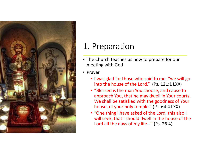

#### 1. Preparation

- The Church teaches us how to prepare for our meeting with God
- Prayer
	- I was glad for those who said to me, "we will go into the house of the Lord." (Ps. 121:1 LXX)
	- "Blessed is the man You choose, and cause to approach You, that he may dwell in Your courts. We shall be satisfied with the goodness of Your house, of your holy temple." (Ps. 64:4 LXX)
	- "One thing I have asked of the Lord, this also I will seek, that I should dwell in the house of the Lord all the days of my life…" (Ps. 26:4)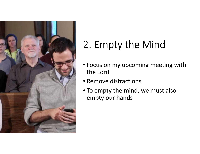

# 2. Empty the Mind

- Focus on my upcoming meeting with the Lord
- Remove distractions
- To empty the mind, we must also empty our hands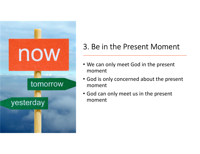

#### 3. Be in the Present Moment

- We can only meet God in the present moment
- God is only concerned about the present moment
- God can only meet us in the present moment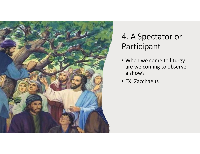

#### 4. A Spectator or Participant

- When we come to liturgy, are we coming to observe a show?
- EX: Zacchaeus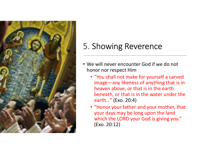

### 5. Showing Reverence

- We will never encounter God if we do not honor nor respect Him
	- "You shall not make for yourself a carved image—any likeness of anything that is in heaven above, or that is in the earth beneath, or that is in the water under the earth…" (Exo. 20:4)
	- "Honor your father and your mother, that your days may be long upon the land which the LORD your God is giving you." (Exo. 20:12)